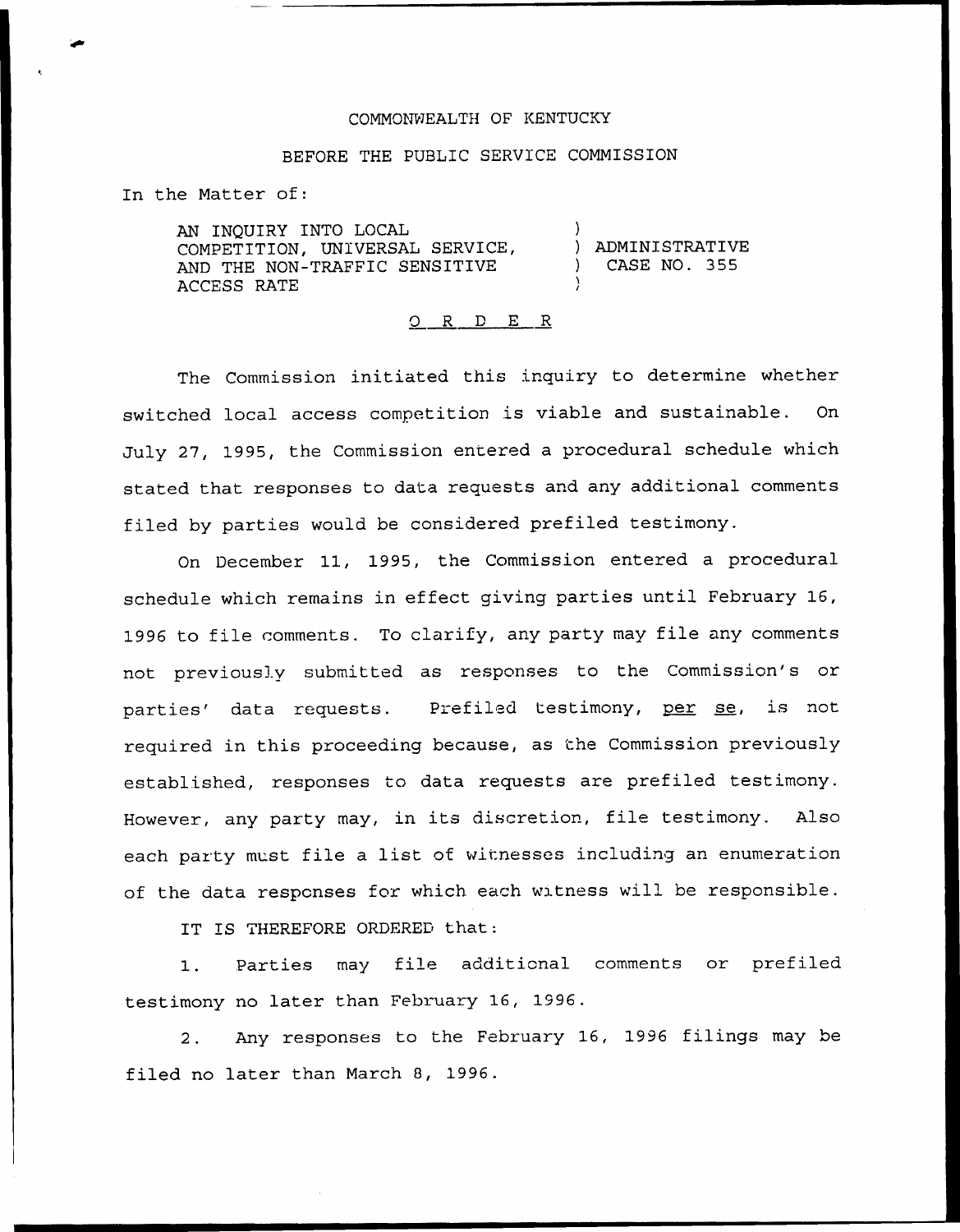## COMMONWEALTH OF KENTUCKY

## BEFORE THE PUBLIC SERVICE COMMISSION

In the Matter of:

AN INQUIRY INTO LOCAL COMPETITION, UN1VERSAL SERVICE, AND THE NON-TRAFFIC SENSITIVE ACCESS RATE

) ADMINISTRATIVE ) CASE NO. 355

)

0 <sup>R</sup> <sup>D</sup> E <sup>R</sup>

The Commission initiated this inquiry to determine whether switched local access competition is viable and sustainable. On July 27, 1995, the Commission entered a procedural schedule which stated that responses to data requests and any additional comments filed by parties would be considered prefiled testimony.

On December 11, 1995, the Commission entered a procedural schedule which remains in effect giving parties until February 16, 1996 to file comments. To clarify, any party may file any comments not previously submitted as responses to the Commission's or parties' data requests. Prefiled testimony, per se, is not required in this proceeding because, as the Commission previously established, responses to data requests are prefiled testimony. However, any party may, in its discretion, file testimony. Also each party must file <sup>a</sup> list of witnesses including an enumeration of the data responses for which each witness will be responsible.

IT IS THEREFORE ORDERED that:

1. Parties may file additional comments or prefiled testimony no later than February 16, 1996.

2. Any responses to the February 16, 1996 filings may be filed no later than March 8, 1996.